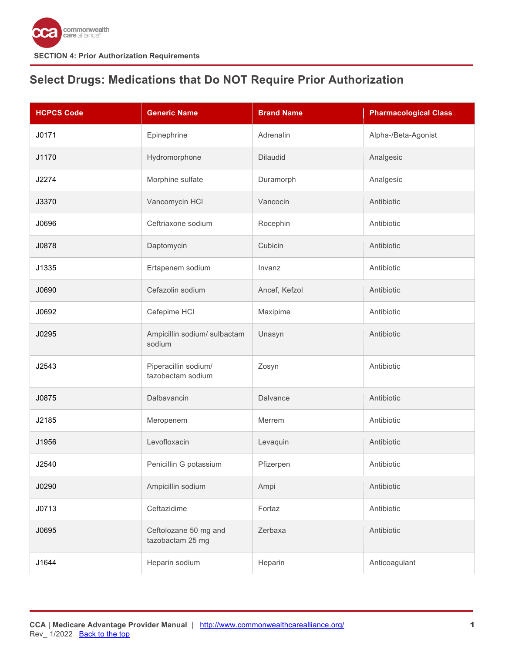

# <span id="page-0-0"></span>**Select Drugs: Medications that Do NOT Require Prior Authorization**

| <b>HCPCS Code</b> | <b>Generic Name</b>                       | <b>Brand Name</b> | <b>Pharmacological Class</b> |
|-------------------|-------------------------------------------|-------------------|------------------------------|
| J0171             | Epinephrine                               | Adrenalin         | Alpha-/Beta-Agonist          |
| J1170             | Hydromorphone                             | <b>Dilaudid</b>   | Analgesic                    |
| J2274             | Morphine sulfate                          | Duramorph         | Analgesic                    |
| J3370             | Vancomycin HCI                            | Vancocin          | Antibiotic                   |
| J0696             | Ceftriaxone sodium                        | Rocephin          | Antibiotic                   |
| J0878             | Daptomycin                                | Cubicin           | Antibiotic                   |
| J1335             | Ertapenem sodium                          | Invanz            | Antibiotic                   |
| J0690             | Cefazolin sodium                          | Ancef, Kefzol     | Antibiotic                   |
| J0692             | Cefepime HCI                              | Maxipime          | Antibiotic                   |
| J0295             | Ampicillin sodium/ sulbactam<br>sodium    | Unasyn            | Antibiotic                   |
| J2543             | Piperacillin sodium/<br>tazobactam sodium | Zosyn             | Antibiotic                   |
| J0875             | Dalbavancin                               | Dalvance          | Antibiotic                   |
| J2185             | Meropenem                                 | Merrem            | Antibiotic                   |
| J1956             | Levofloxacin                              | Levaquin          | Antibiotic                   |
| J2540             | Penicillin G potassium                    | Pfizerpen         | Antibiotic                   |
| J0290             | Ampicillin sodium                         | Ampi              | Antibiotic                   |
| J0713             | Ceftazidime                               | Fortaz            | Antibiotic                   |
| J0695             | Ceftolozane 50 mg and<br>tazobactam 25 mg | Zerbaxa           | Antibiotic                   |
| J1644             | Heparin sodium                            | Heparin           | Anticoagulant                |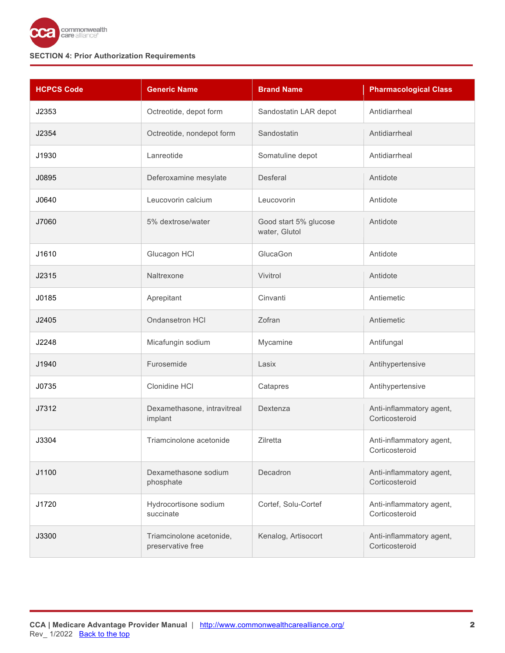

| <b>HCPCS Code</b> | <b>Generic Name</b>                           | <b>Brand Name</b>                      | <b>Pharmacological Class</b>               |
|-------------------|-----------------------------------------------|----------------------------------------|--------------------------------------------|
| J2353             | Octreotide, depot form                        | Sandostatin LAR depot                  | Antidiarrheal                              |
| J2354             | Octreotide, nondepot form                     | Sandostatin                            | Antidiarrheal                              |
| J1930             | Lanreotide                                    | Somatuline depot                       | Antidiarrheal                              |
| J0895             | Deferoxamine mesylate                         | Desferal                               | Antidote                                   |
| J0640             | Leucovorin calcium                            | Leucovorin                             | Antidote                                   |
| J7060             | 5% dextrose/water                             | Good start 5% glucose<br>water, Glutol | Antidote                                   |
| J1610             | Glucagon HCI                                  | GlucaGon                               | Antidote                                   |
| J2315             | Naltrexone                                    | Vivitrol                               | Antidote                                   |
| J0185             | Aprepitant                                    | Cinvanti                               | Antiemetic                                 |
| J2405             | Ondansetron HCI                               | Zofran                                 | Antiemetic                                 |
| J2248             | Micafungin sodium                             | Mycamine                               | Antifungal                                 |
| J1940             | Furosemide                                    | Lasix                                  | Antihypertensive                           |
| J0735             | Clonidine HCI                                 | Catapres                               | Antihypertensive                           |
| J7312             | Dexamethasone, intravitreal<br>implant        | Dextenza                               | Anti-inflammatory agent,<br>Corticosteroid |
| J3304             | Triamcinolone acetonide                       | Zilretta                               | Anti-inflammatory agent,<br>Corticosteroid |
| J1100             | Dexamethasone sodium<br>phosphate             | Decadron                               | Anti-inflammatory agent,<br>Corticosteroid |
| J1720             | Hydrocortisone sodium<br>succinate            | Cortef, Solu-Cortef                    | Anti-inflammatory agent,<br>Corticosteroid |
| J3300             | Triamcinolone acetonide,<br>preservative free | Kenalog, Artisocort                    | Anti-inflammatory agent,<br>Corticosteroid |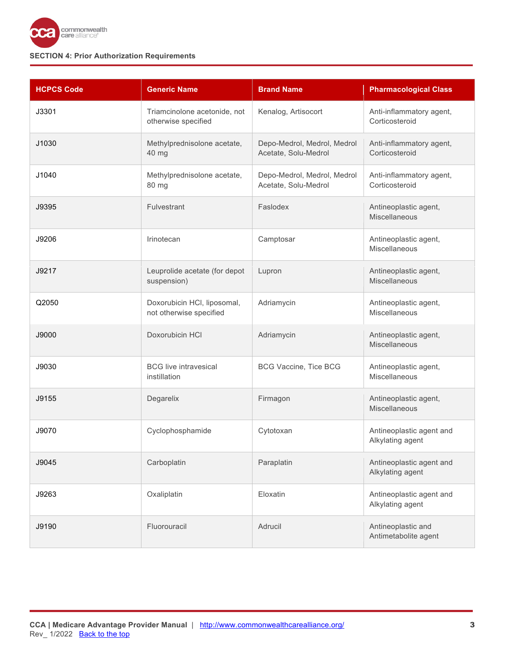

| <b>HCPCS Code</b> | <b>Generic Name</b>                                    | <b>Brand Name</b>                                   | <b>Pharmacological Class</b>                  |
|-------------------|--------------------------------------------------------|-----------------------------------------------------|-----------------------------------------------|
| J3301             | Triamcinolone acetonide, not<br>otherwise specified    | Kenalog, Artisocort                                 | Anti-inflammatory agent,<br>Corticosteroid    |
| J1030             | Methylprednisolone acetate,<br>40 mg                   | Depo-Medrol, Medrol, Medrol<br>Acetate, Solu-Medrol | Anti-inflammatory agent,<br>Corticosteroid    |
| J1040             | Methylprednisolone acetate,<br>80 mg                   | Depo-Medrol, Medrol, Medrol<br>Acetate, Solu-Medrol | Anti-inflammatory agent,<br>Corticosteroid    |
| J9395             | Fulvestrant                                            | Faslodex                                            | Antineoplastic agent,<br><b>Miscellaneous</b> |
| J9206             | Irinotecan                                             | Camptosar                                           | Antineoplastic agent,<br>Miscellaneous        |
| J9217             | Leuprolide acetate (for depot<br>suspension)           | Lupron                                              | Antineoplastic agent,<br>Miscellaneous        |
| Q2050             | Doxorubicin HCI, liposomal,<br>not otherwise specified | Adriamycin                                          | Antineoplastic agent,<br>Miscellaneous        |
| J9000             | Doxorubicin HCI                                        | Adriamycin                                          | Antineoplastic agent,<br>Miscellaneous        |
| J9030             | <b>BCG</b> live intravesical<br>instillation           | <b>BCG Vaccine, Tice BCG</b>                        | Antineoplastic agent,<br>Miscellaneous        |
| J9155             | Degarelix                                              | Firmagon                                            | Antineoplastic agent,<br>Miscellaneous        |
| J9070             | Cyclophosphamide                                       | Cytotoxan                                           | Antineoplastic agent and<br>Alkylating agent  |
| J9045             | Carboplatin                                            | Paraplatin                                          | Antineoplastic agent and<br>Alkylating agent  |
| J9263             | Oxaliplatin                                            | Eloxatin                                            | Antineoplastic agent and<br>Alkylating agent  |
| J9190             | Fluorouracil                                           | Adrucil                                             | Antineoplastic and<br>Antimetabolite agent    |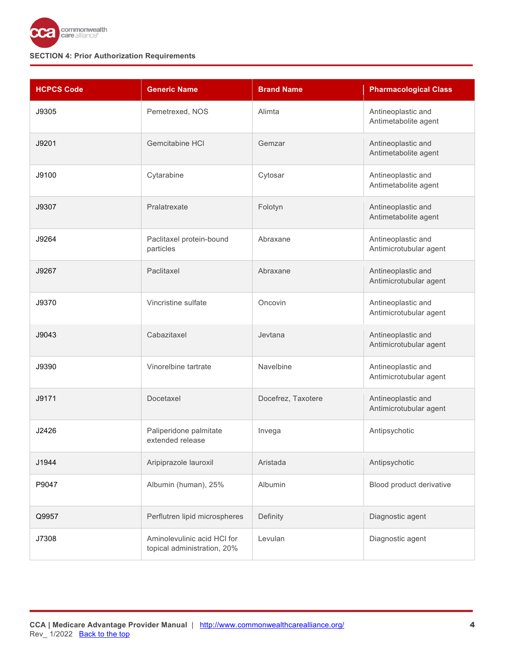

| <b>HCPCS Code</b> | <b>Generic Name</b>                                        | <b>Brand Name</b>  | <b>Pharmacological Class</b>                 |
|-------------------|------------------------------------------------------------|--------------------|----------------------------------------------|
| J9305             | Pemetrexed, NOS                                            | Alimta             | Antineoplastic and<br>Antimetabolite agent   |
| J9201             | Gemcitabine HCI                                            | Gemzar             | Antineoplastic and<br>Antimetabolite agent   |
| J9100             | Cytarabine                                                 | Cytosar            | Antineoplastic and<br>Antimetabolite agent   |
| J9307             | Pralatrexate                                               | Folotyn            | Antineoplastic and<br>Antimetabolite agent   |
| J9264             | Paclitaxel protein-bound<br>particles                      | Abraxane           | Antineoplastic and<br>Antimicrotubular agent |
| J9267             | Paclitaxel                                                 | Abraxane           | Antineoplastic and<br>Antimicrotubular agent |
| J9370             | Vincristine sulfate                                        | Oncovin            | Antineoplastic and<br>Antimicrotubular agent |
| J9043             | Cabazitaxel                                                | Jevtana            | Antineoplastic and<br>Antimicrotubular agent |
| J9390             | Vinorelbine tartrate                                       | Navelbine          | Antineoplastic and<br>Antimicrotubular agent |
| J9171             | Docetaxel                                                  | Docefrez, Taxotere | Antineoplastic and<br>Antimicrotubular agent |
| J2426             | Paliperidone palmitate<br>extended release                 | Invega             | Antipsychotic                                |
| J1944             | Aripiprazole lauroxil                                      | Aristada           | Antipsychotic                                |
| P9047             | Albumin (human), 25%                                       | Albumin            | Blood product derivative                     |
| Q9957             | Perflutren lipid microspheres                              | Definity           | Diagnostic agent                             |
| J7308             | Aminolevulinic acid HCI for<br>topical administration, 20% | Levulan            | Diagnostic agent                             |